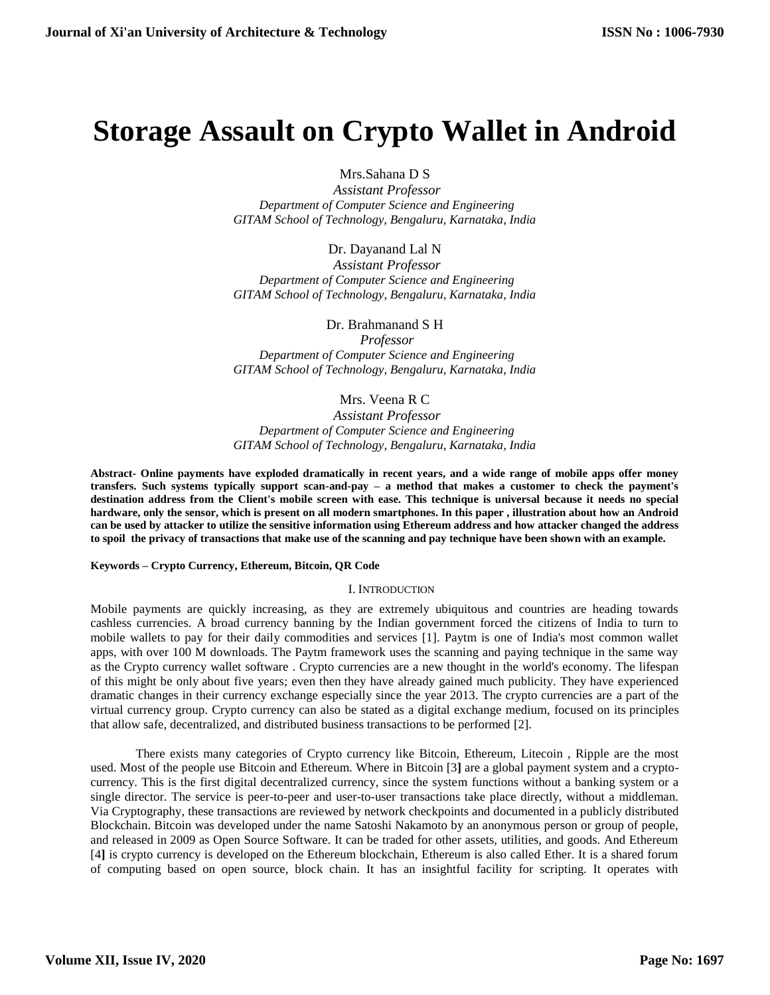## **Storage Assault on Crypto Wallet in Android**

Mrs.Sahana D S

 *Assistant Professor Department of Computer Science and Engineering GITAM School of Technology, Bengaluru, Karnataka, India*

Dr. Dayanand Lal N

 *Assistant Professor Department of Computer Science and Engineering GITAM School of Technology, Bengaluru, Karnataka, India*

Dr. Brahmanand S H

 *Professor Department of Computer Science and Engineering GITAM School of Technology, Bengaluru, Karnataka, India*

Mrs. Veena R C

 *Assistant Professor Department of Computer Science and Engineering GITAM School of Technology, Bengaluru, Karnataka, India*

**Abstract- Online payments have exploded dramatically in recent years, and a wide range of mobile apps offer money transfers. Such systems typically support scan-and-pay – a method that makes a customer to check the payment's destination address from the Client's mobile screen with ease. This technique is universal because it needs no special hardware, only the sensor, which is present on all modern smartphones. In this paper , illustration about how an Android can be used by attacker to utilize the sensitive information using Ethereum address and how attacker changed the address to spoil the privacy of transactions that make use of the scanning and pay technique have been shown with an example.** 

**Keywords – Crypto Currency, Ethereum, Bitcoin, QR Code**

I. INTRODUCTION

Mobile payments are quickly increasing, as they are extremely ubiquitous and countries are heading towards cashless currencies. A broad currency banning by the Indian government forced the citizens of India to turn to mobile wallets to pay for their daily commodities and services [1]. Paytm is one of India's most common wallet apps, with over 100 M downloads. The Paytm framework uses the scanning and paying technique in the same way as the Crypto currency wallet software . Crypto currencies are a new thought in the world's economy. The lifespan of this might be only about five years; even then they have already gained much publicity. They have experienced dramatic changes in their currency exchange especially since the year 2013. The crypto currencies are a part of the virtual currency group. Crypto currency can also be stated as a digital exchange medium, focused on its principles that allow safe, decentralized, and distributed business transactions to be performed [2].

There exists many categories of Crypto currency like Bitcoin, Ethereum, Litecoin , Ripple are the most used. Most of the people use Bitcoin and Ethereum. Where in Bitcoin [3**]** are a global payment system and a cryptocurrency. This is the first digital decentralized currency, since the system functions without a banking system or a single director. The service is peer-to-peer and user-to-user transactions take place directly, without a middleman. Via Cryptography, these transactions are reviewed by network checkpoints and documented in a publicly distributed Blockchain. Bitcoin was developed under the name Satoshi Nakamoto by an anonymous person or group of people, and released in 2009 as Open Source Software. It can be traded for other assets, utilities, and goods. And Ethereum [4**]** is crypto currency is developed on the Ethereum blockchain, Ethereum is also called Ether. It is a shared forum of computing based on open source, block chain. It has an insightful facility for scripting. It operates with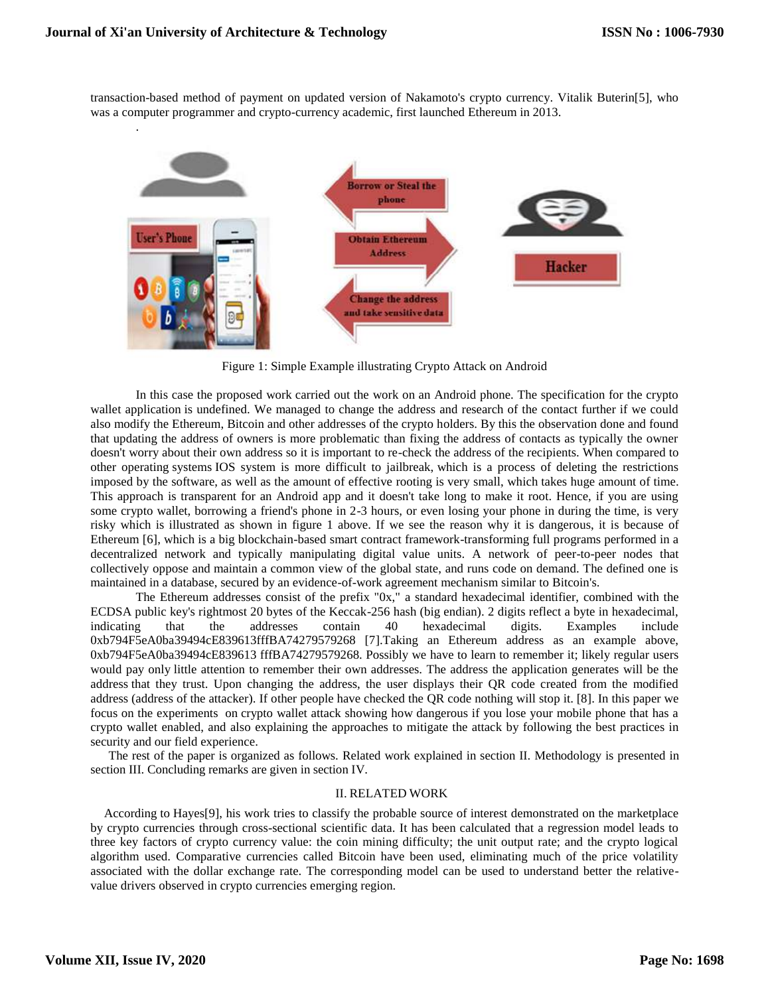.

transaction-based method of payment on updated version of Nakamoto's crypto currency. Vitalik Buterin[5], who was a computer programmer and crypto-currency academic, first launched Ethereum in 2013.



Figure 1: Simple Example illustrating Crypto Attack on Android

In this case the proposed work carried out the work on an Android phone. The specification for the crypto wallet application is undefined. We managed to change the address and research of the contact further if we could also modify the Ethereum, Bitcoin and other addresses of the crypto holders. By this the observation done and found that updating the address of owners is more problematic than fixing the address of contacts as typically the owner doesn't worry about their own address so it is important to re-check the address of the recipients. When compared to other operating systems IOS system is more difficult to jailbreak, which is a process of deleting the restrictions imposed by the software, as well as the amount of effective rooting is very small, which takes huge amount of time. This approach is transparent for an Android app and it doesn't take long to make it root. Hence, if you are using some crypto wallet, borrowing a friend's phone in 2-3 hours, or even losing your phone in during the time, is very risky which is illustrated as shown in figure 1 above. If we see the reason why it is dangerous, it is because of Ethereum [6], which is a big blockchain-based smart contract framework-transforming full programs performed in a decentralized network and typically manipulating digital value units. A network of peer-to-peer nodes that collectively oppose and maintain a common view of the global state, and runs code on demand. The defined one is maintained in a database, secured by an evidence-of-work agreement mechanism similar to Bitcoin's.

The Ethereum addresses consist of the prefix "0x," a standard hexadecimal identifier, combined with the ECDSA public key's rightmost 20 bytes of the Keccak-256 hash (big endian). 2 digits reflect a byte in hexadecimal, indicating that the addresses contain 40 hexadecimal digits. Examples include 0xb794F5eA0ba39494cE839613fffBA74279579268 [7].Taking an Ethereum address as an example above, 0xb794F5eA0ba39494cE839613 fffBA74279579268. Possibly we have to learn to remember it; likely regular users would pay only little attention to remember their own addresses. The address the application generates will be the address that they trust. Upon changing the address, the user displays their QR code created from the modified address (address of the attacker). If other people have checked the QR code nothing will stop it. [8]. In this paper we focus on the experiments on crypto wallet attack showing how dangerous if you lose your mobile phone that has a crypto wallet enabled, and also explaining the approaches to mitigate the attack by following the best practices in security and our field experience.

The rest of the paper is organized as follows. Related work explained in section II. Methodology is presented in section III. Concluding remarks are given in section IV.

### II. RELATED WORK

According to Hayes[9], his work tries to classify the probable source of interest demonstrated on the marketplace by crypto currencies through cross-sectional scientific data. It has been calculated that a regression model leads to three key factors of crypto currency value: the coin mining difficulty; the unit output rate; and the crypto logical algorithm used. Comparative currencies called Bitcoin have been used, eliminating much of the price volatility associated with the dollar exchange rate. The corresponding model can be used to understand better the relativevalue drivers observed in crypto currencies emerging region.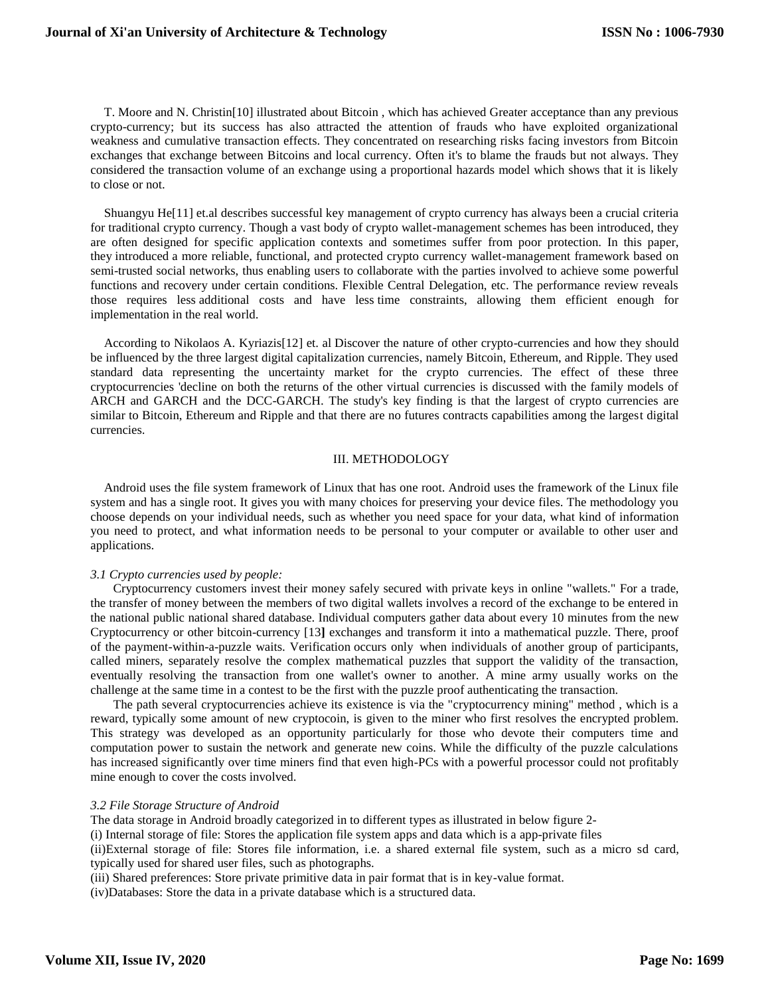T. Moore and N. Christin[10] illustrated about Bitcoin , which has achieved Greater acceptance than any previous crypto-currency; but its success has also attracted the attention of frauds who have exploited organizational weakness and cumulative transaction effects. They concentrated on researching risks facing investors from Bitcoin exchanges that exchange between Bitcoins and local currency. Often it's to blame the frauds but not always. They considered the transaction volume of an exchange using a proportional hazards model which shows that it is likely to close or not.

Shuangyu He[11] et.al describes successful key management of crypto currency has always been a crucial criteria for traditional crypto currency. Though a vast body of crypto wallet-management schemes has been introduced, they are often designed for specific application contexts and sometimes suffer from poor protection. In this paper, they introduced a more reliable, functional, and protected crypto currency wallet-management framework based on semi-trusted social networks, thus enabling users to collaborate with the parties involved to achieve some powerful functions and recovery under certain conditions. Flexible Central Delegation, etc. The performance review reveals those requires less additional costs and have less time constraints, allowing them efficient enough for implementation in the real world.

According to Nikolaos A. Kyriazis[12] et. al Discover the nature of other crypto-currencies and how they should be influenced by the three largest digital capitalization currencies, namely Bitcoin, Ethereum, and Ripple. They used standard data representing the uncertainty market for the crypto currencies. The effect of these three cryptocurrencies 'decline on both the returns of the other virtual currencies is discussed with the family models of ARCH and GARCH and the DCC-GARCH. The study's key finding is that the largest of crypto currencies are similar to Bitcoin, Ethereum and Ripple and that there are no futures contracts capabilities among the largest digital currencies.

#### III. METHODOLOGY

Android uses the file system framework of Linux that has one root. Android uses the framework of the Linux file system and has a single root. It gives you with many choices for preserving your device files. The methodology you choose depends on your individual needs, such as whether you need space for your data, what kind of information you need to protect, and what information needs to be personal to your computer or available to other user and applications.

### *3.1 Crypto currencies used by people:*

Cryptocurrency customers invest their money safely secured with private keys in online "wallets." For a trade, the transfer of money between the members of two digital wallets involves a record of the exchange to be entered in the national public national shared database. Individual computers gather data about every 10 minutes from the new Cryptocurrency or other bitcoin-currency [13**]** exchanges and transform it into a mathematical puzzle. There, proof of the payment-within-a-puzzle waits. Verification occurs only when individuals of another group of participants, called miners, separately resolve the complex mathematical puzzles that support the validity of the transaction, eventually resolving the transaction from one wallet's owner to another. A mine army usually works on the challenge at the same time in a contest to be the first with the puzzle proof authenticating the transaction.

The path several cryptocurrencies achieve its existence is via the "cryptocurrency mining" method , which is a reward, typically some amount of new cryptocoin, is given to the miner who first resolves the encrypted problem. This strategy was developed as an opportunity particularly for those who devote their computers time and computation power to sustain the network and generate new coins. While the difficulty of the puzzle calculations has increased significantly over time miners find that even high-PCs with a powerful processor could not profitably mine enough to cover the costs involved.

#### *3.2 File Storage Structure of Android*

The data storage in Android broadly categorized in to different types as illustrated in below figure 2-

(i) Internal storage of file: Stores the application file system apps and data which is a app-private files

(ii)External storage of file: Stores file information, i.e. a shared external file system, such as a micro sd card, typically used for shared user files, such as photographs.

(iii) Shared preferences: Store private primitive data in pair format that is in key-value format.

(iv)Databases: Store the data in a private database which is a structured data.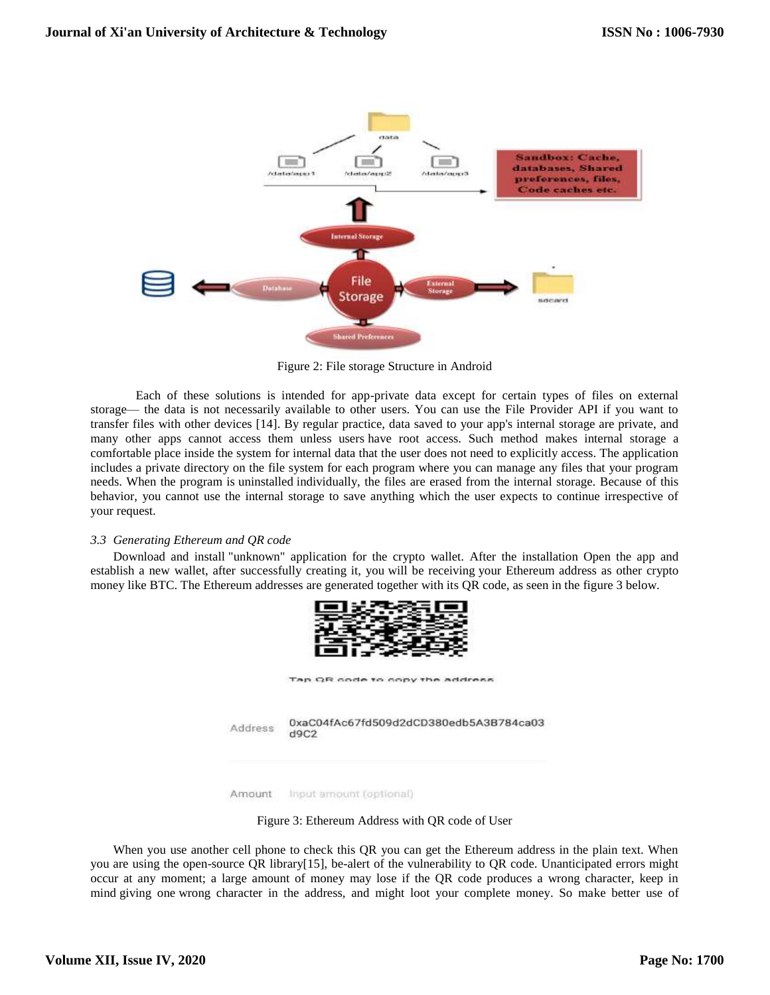

Figure 2: File storage Structure in Android

Each of these solutions is intended for app-private data except for certain types of files on external storage— the data is not necessarily available to other users. You can use the File Provider API if you want to transfer files with other devices [14]. By regular practice, data saved to your app's internal storage are private, and many other apps cannot access them unless users have root access. Such method makes internal storage a comfortable place inside the system for internal data that the user does not need to explicitly access. The application includes a private directory on the file system for each program where you can manage any files that your program needs. When the program is uninstalled individually, the files are erased from the internal storage. Because of this behavior, you cannot use the internal storage to save anything which the user expects to continue irrespective of your request.

### *3.3 Generating Ethereum and QR code*

Download and install "unknown" application for the crypto wallet. After the installation Open the app and establish a new wallet, after successfully creating it, you will be receiving your Ethereum address as other crypto money like BTC. The Ethereum addresses are generated together with its QR code, as seen in the figure 3 below.



Amount Input amount (optional)

Figure 3: Ethereum Address with QR code of User

When you use another cell phone to check this QR you can get the Ethereum address in the plain text. When you are using the open-source QR library[15], be-alert of the vulnerability to QR code. Unanticipated errors might occur at any moment; a large amount of money may lose if the QR code produces a wrong character, keep in mind giving one wrong character in the address, and might loot your complete money. So make better use of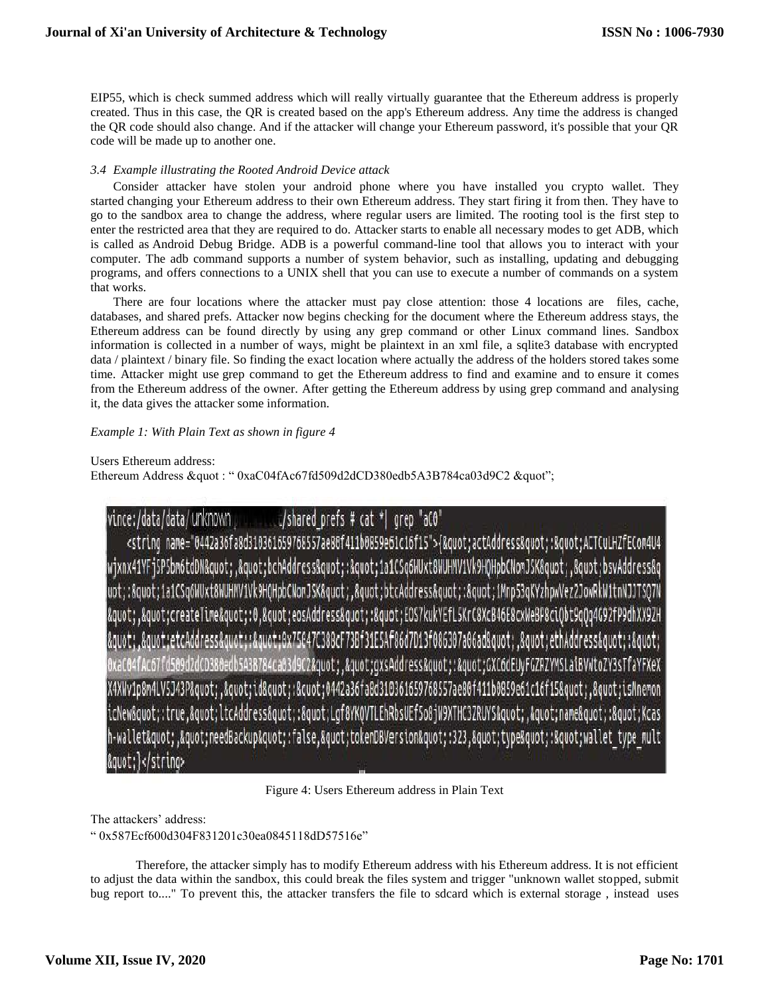EIP55, which is check summed address which will really virtually guarantee that the Ethereum address is properly created. Thus in this case, the QR is created based on the app's Ethereum address. Any time the address is changed the QR code should also change. And if the attacker will change your Ethereum password, it's possible that your QR code will be made up to another one.

### *3.4 Example illustrating the Rooted Android Device attack*

Consider attacker have stolen your android phone where you have installed you crypto wallet. They started changing your Ethereum address to their own Ethereum address. They start firing it from then. They have to go to the sandbox area to change the address, where regular users are limited. The rooting tool is the first step to enter the restricted area that they are required to do. Attacker starts to enable all necessary modes to get ADB, which is called as Android Debug Bridge. ADB is a powerful command-line tool that allows you to interact with your computer. The adb command supports a number of system behavior, such as installing, updating and debugging programs, and offers connections to a UNIX shell that you can use to execute a number of commands on a system that works.

There are four locations where the attacker must pay close attention: those 4 locations are files, cache, databases, and shared prefs. Attacker now begins checking for the document where the Ethereum address stays, the Ethereum address can be found directly by using any grep command or other Linux command lines. Sandbox information is collected in a number of ways, might be plaintext in an xml file, a sqlite3 database with encrypted data / plaintext / binary file. So finding the exact location where actually the address of the holders stored takes some time. Attacker might use grep command to get the Ethereum address to find and examine and to ensure it comes from the Ethereum address of the owner. After getting the Ethereum address by using grep command and analysing it, the data gives the attacker some information.

### *Example 1: With Plain Text as shown in figure 4*

Users Ethereum address:

Ethereum Address &quot: " 0xaC04fAc67fd509d2dCD380edb5A3B784ca03d9C2 &quot";

#### vince:/data/data/unknown "/shared prefs # cat \*| grep "aCO".

<string name="0442a36fa8d310361659768557ae80f411b0859e61c16f15">{&quot;actAddress&quot;:&quot;ACTCuLHZfECom4U4 wjxnx41YFj5P5bm6tdDN","bchAddress":"1a1CSq6WUxt8WUHMV1Vk9HQHpbCNomJSK","bsvAddress&q |uot;:"1a1CSq6WUxt8WUHMV1Vk9HQHpbCNomJSK","btcAddress":"1Mnp53qKYzhpwVez2JowRkW1tnNJJ ","createTime":0,"eosAddress":"EOS7kukYEfL5KrC8XcB46E8cxWeBP8ciQbt9qQq4G92fP9dhXX9ZH {\duot;etcAddress":"0x75047C388cF73Bf31E5Af86d7D13f086307a06ad"."ethAddress" CD380edb5A3B784ca03d9C2","gxsAddress":"GXC6dEUyFGZRZYMSLalBVWtoZY3sTfaYFXeX X4XWv1p8m4LV5J43P","id":"0442a36fa8d310361659768557ae80f411b0859e61c16f15","isMnemon icNew":true,"ltcAddress":"Lgf8YKQVTLEhRbsUEf5o8jW9XTHC3ZRUYS","name":"Kcas h-wallet","needBackup":false,"tokenDBVersion":323,"type":"wallet type mult k/strino>

Figure 4: Users Ethereum address in Plain Text

The attackers' address:

" 0x587Ecf600d304F831201c30ea0845118dD57516e"

Therefore, the attacker simply has to modify Ethereum address with his Ethereum address. It is not efficient to adjust the data within the sandbox, this could break the files system and trigger "unknown wallet stopped, submit bug report to...." To prevent this, the attacker transfers the file to sdcard which is external storage , instead uses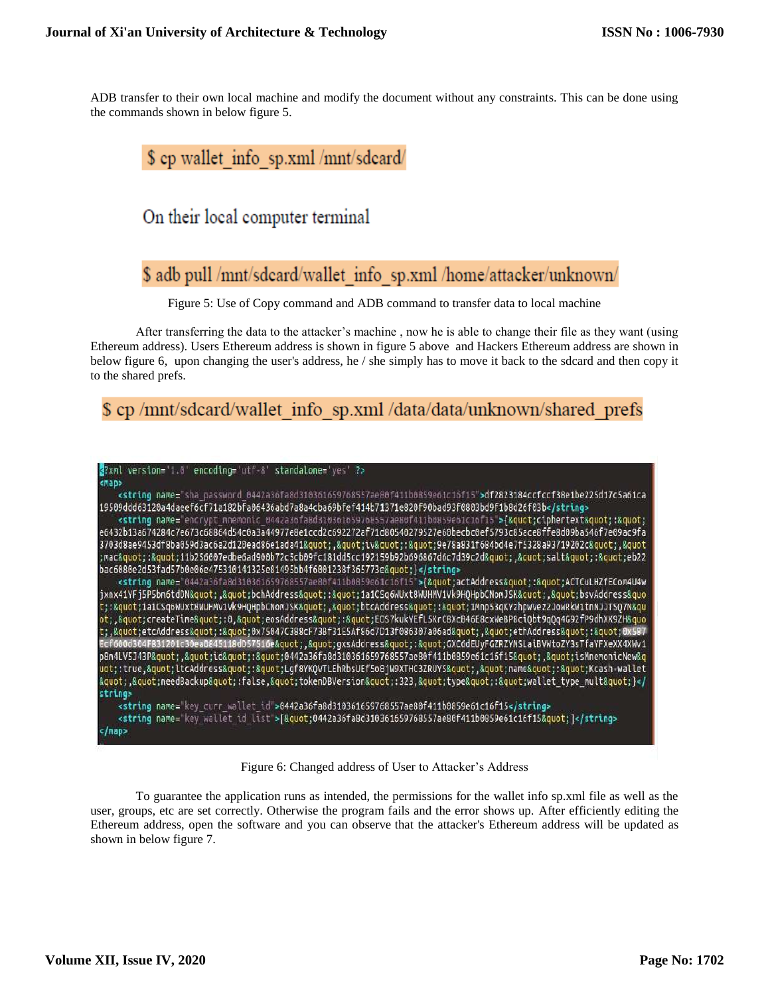ADB transfer to their own local machine and modify the document without any constraints. This can be done using the commands shown in below figure 5.

### \$ ep wallet info sp.xml /mnt/sdeard/

### On their local computer terminal

## \$ adb pull /mnt/sdcard/wallet\_info\_sp.xml /home/attacker/unknown/

Figure 5: Use of Copy command and ADB command to transfer data to local machine

After transferring the data to the attacker's machine , now he is able to change their file as they want (using Ethereum address). Users Ethereum address is shown in figure 5 above and Hackers Ethereum address are shown in below figure 6, upon changing the user's address, he / she simply has to move it back to the sdcard and then copy it to the shared prefs.

### \$ cp /mnt/sdcard/wallet info sp.xml /data/data/unknown/shared prefs



### Figure 6: Changed address of User to Attacker's Address

To guarantee the application runs as intended, the permissions for the wallet info sp.xml file as well as the user, groups, etc are set correctly. Otherwise the program fails and the error shows up. After efficiently editing the Ethereum address, open the software and you can observe that the attacker's Ethereum address will be updated as shown in below figure 7.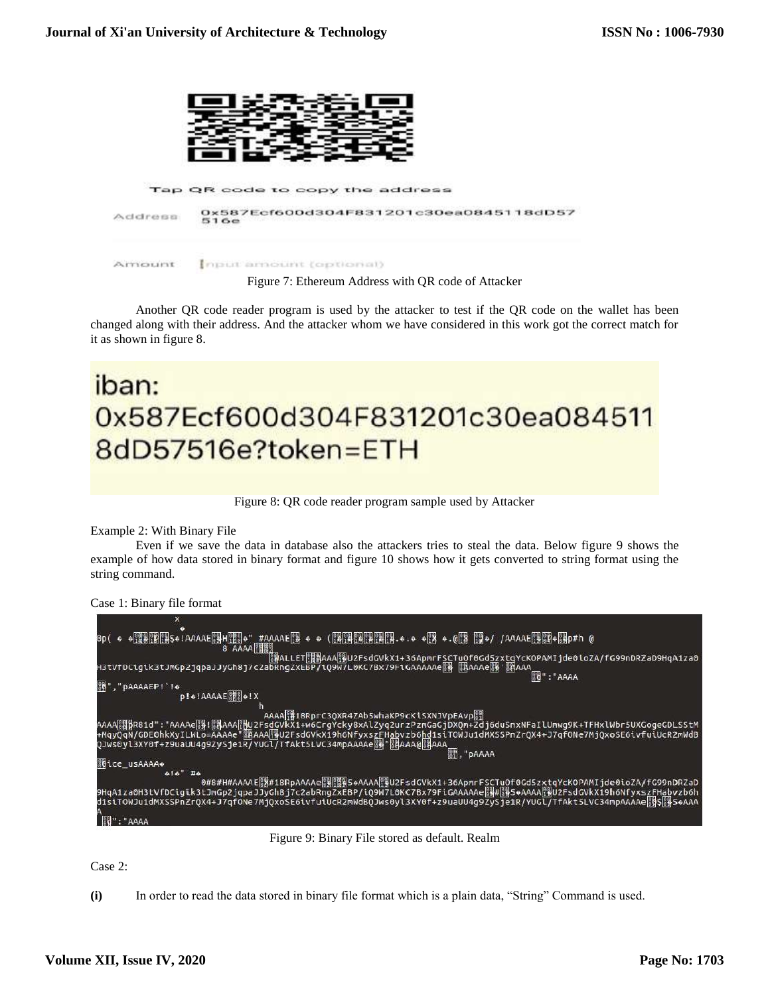

Another QR code reader program is used by the attacker to test if the QR code on the wallet has been changed along with their address. And the attacker whom we have considered in this work got the correct match for it as shown in figure 8.

# iban: 0x587Ecf600d304F831201c30ea084511 8dD57516e?token=ETH

Figure 8: QR code reader program sample used by Attacker

Example 2: With Binary File

Even if we save the data in database also the attackers tries to steal the data. Below figure 9 shows the example of how data stored in binary format and figure 10 shows how it gets converted to string format using the string command.

```
Case 1: Binary file format
```

| 图":"AAAA                                                                                                                                                                                                                                                               |
|------------------------------------------------------------------------------------------------------------------------------------------------------------------------------------------------------------------------------------------------------------------------|
| 80", "PAAAAEP! '!*                                                                                                                                                                                                                                                     |
| $p! \cdot \text{IAAAAE}$                                                                                                                                                                                                                                               |
|                                                                                                                                                                                                                                                                        |
| AAAA <sup>8</sup> 18RprC3QXR4ZAb5whaKP9cKiSXNJVpEAvp                                                                                                                                                                                                                   |
| AAAA 關pR81d":"AAAAe{{}![pAAA[}bl2Fs <u>dC</u> VKX1+w6CrgYcky8xAlZyq2urzPznGaGjDXQn+Zdj6duSnxNFaIlUnwg9K+TFHxlWbr5UXCogeCDLSStM                                                                                                                                         |
|                                                                                                                                                                                                                                                                        |
| <b>图, "pAAAA</b>                                                                                                                                                                                                                                                       |
|                                                                                                                                                                                                                                                                        |
| <b>Stice_usAAAA+</b>                                                                                                                                                                                                                                                   |
| $+16"$ #4                                                                                                                                                                                                                                                              |
| O#8#H#AAAAEBH#18RpAAAAeBHBBB6+AAAANBU2FsdCVkX1+36ApmrFSCTuQf0Gd5zxtqYcK0PAMIjde0ioZA/fG99nDRZaD<br>9HqA1za0H3tVfDCigik3tJmGp2jqpaJJyGhBj7c2abRngZxEBP/iQ9W7L0KC7Bx79FiGAAAAAe <mark>ry</mark> # <b>ly</b> 5+AAAA <mark>ry</mark> U2FsdGVkX19h6Nfyxs <u>zFHab</u> vzb6h |
| distTOWJuidMXSSPnZrQX4+J7qfONe7MjQxoSE6tvfutUcRZMWdBQJws0yl3XY0f+z9uaUU4g9ZySjeiR/YUGt/TfAktSLVC34mpAAAAe <b>R\$S{#S6AAA</b>                                                                                                                                           |
|                                                                                                                                                                                                                                                                        |
| "AAAA                                                                                                                                                                                                                                                                  |
|                                                                                                                                                                                                                                                                        |

Figure 9: Binary File stored as default. Realm

Case 2:

**(i)** In order to read the data stored in binary file format which is a plain data, "String" Command is used.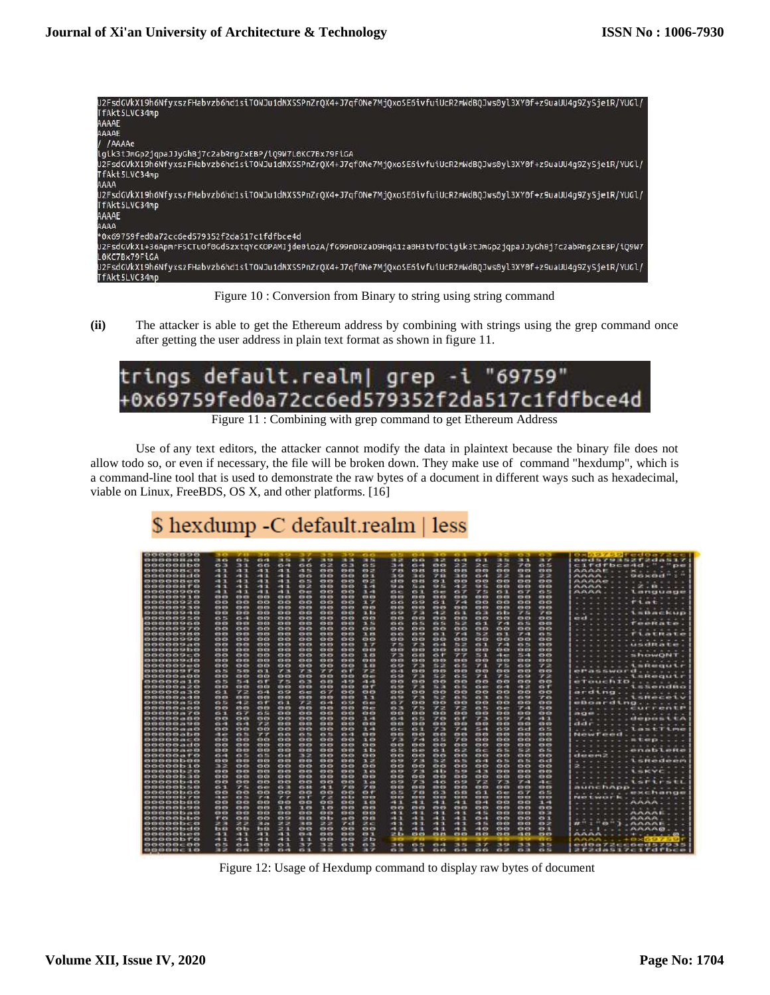

Figure 10 : Conversion from Binary to string using string command

**(ii)** The attacker is able to get the Ethereum address by combining with strings using the grep command once after getting the user address in plain text format as shown in figure 11.



Figure 11 : Combining with grep command to get Ethereum Address

Use of any text editors, the attacker cannot modify the data in plaintext because the binary file does not allow todo so, or even if necessary, the file will be broken down. They make use of command "hexdump", which is a command-line tool that is used to demonstrate the raw bytes of a document in different ways such as hexadecimal, viable on Linux, FreeBDS, OS X, and other platforms. [16]

\$ hexdump -C default.realm | less

| <b>CONDITION</b>                              | $-1$                      |                |                  |                  |                         |                         |                  | <b>CLES</b>    | <b>TELL</b>             | <b>TAXABLE</b>    |              | $-1$           |                         |                  | <b>CALLS</b>         | <b>CONTINENT</b> | 03097591 00007200                                                                               |
|-----------------------------------------------|---------------------------|----------------|------------------|------------------|-------------------------|-------------------------|------------------|----------------|-------------------------|-------------------|--------------|----------------|-------------------------|------------------|----------------------|------------------|-------------------------------------------------------------------------------------------------|
| <b>120 00 00 00 00 24 JS 03</b>               | 38.456                    | 6.56           | 0.01             | 38.95            | 38.77                   | 28.900                  | <b>SR 28</b>     | <b>DR 75</b>   | 18.48                   | 66                | <b>38.22</b> | 0.03           | 0.1                     | 38.59            | 演員                   | <b>RT</b>        | 香港过程学校法院艺术学过高报生学                                                                                |
| occocho                                       | 63                        | 31             | 66               | $6 - 1$          | 66                      | 62                      | 63               | 65             | 34                      | 64                | ee           | 22             | 2c                      | 22               | 70                   | 65               | cifdfbcend."."pe                                                                                |
| 49-19-19-19-19-29-10                          | $-11$                     | $-1$           | -1.1             | $-1$             | ict NL                  | 419-419                 | 09-878           | 0.2            | アバ                      | 413 214           | 24.24        | 419-316.       | m <sub>0</sub>          | 415-419          | 679.019              | co co            | $AAAAEE + \cdot + K + \cdot + \cdot +$                                                          |
| ocoocido                                      | $-11$                     | 49-10          | - 1              | -13              | $\mathbf{c}$            | 00                      | 0.01             | $O-1$          | 39                      | 36                | 78           | вø             | 64                      | 22               | <b>33 am</b>         | 22               | AAAA96×0d"                                                                                      |
| 00000800                                      | 41                        | 49.79          | 41.71            | -11              | 0.5                     | 00                      | 00               | 0.2            | et es                   | 49.25             | 49.71        | <b>COLCO</b>   | 673-673                 | O <sub>2</sub>   | 00                   | 000              | $AAAAE$                                                                                         |
| <b>COOCHOEST CO</b>                           | $-11$                     | $-11$          | $-11$            | - 1              | 0.2                     | 63.63                   | en es            | 3.43           | 53, 237                 | <b>Similar</b>    | 10 %         | 41.28          | 508.50                  | ca ca            | <b>CO</b> CO         | c's cis          | $ANDA$ , $Z$ , $H$                                                                              |
| 00000900                                      | - 1                       | $-1 - 1$       | $-11$            | -13              | 0<                      | $\bullet$               | $\circ$          | 3.41           | 6 <sup>o</sup>          | <b>CSST</b>       | $\sigma$ es  | 67             | アニ                      | 63               | 67                   | 65               | AAAALanguage                                                                                    |
| 873-873-673-673-733-73, 673-                  | $03 - 03$                 | co en          | 0303             | $69 - 69$        | 69.69                   | CDCD                    | <b>CO-CO</b>     | <b>CD CD</b>   | 413-813                 | <b>SID CD</b>     | $-0.00$      | 415-415        | 03.03                   | <b>CONCO</b>     | 809-809              | 433-433          | $- - - -$                                                                                       |
| 00000920                                      | 88                        | $^{oo}$        | 88               | $^{oo}$          | $^{\circ}$              | $^{\circ}$              | $\bullet$        | ユア             | 66                      | 69                | 61           | 74             | 88                      | $^{oo}$          | $^{oo}$              | $\mathbf{O}$     | $$ Flat<br>٠                                                                                    |
| 02-03-03-03-03-23-03                          | 49.49                     | 03.03          | 49.69            | 419-819          | 479.0%                  | 419-419                 | 413,479          | 000            | 673 673                 | 49.09             | 473-673      | 872-673        | 415-415                 | 03.03            | 809-809              | 49.49            | .                                                                                               |
| 88888848                                      | $\mathbf{m}$              | $^{50}$        | $\circ$          | <b>exes</b>      | $^{co}$                 | $-0$                    |                  | 3. b           | 60                      | アコ                | -12          | 61             | 63                      | бb               | 75                   | 70               | $\ldots$ $\ldots$ $\ldots$ $\ldots$ $\ldots$ $\ldots$ $\ldots$<br>÷                             |
| 00000950                                      | <b>175 FOR</b>            | $6 - 4$        | <b>COLOR</b>     | en en            | <b>OVER</b>             | <b>COLOR</b>            | 0.03             | 000            | <b>CO CO</b>            | <b>mm</b>         | ee           | ee             | 00                      | 000              | <b>mm</b>            | 000              | ed.                                                                                             |
| era era era era sia via era era               | 419-429-                  | 49-409         | 4363             | 409-833          | <b>COLCO</b>            | 45.03                   | 419-419          | <b>PL 20</b>   | <b>CLOSE</b>            | 65.75             | 49.54        | 54, 35,        | 6.1                     | $\mathcal{F}$ of | 45.76                | 423-429          | . . Teekate.<br>$\frac{1}{2} \left( \frac{1}{2} \right) \frac{1}{2} \left( \frac{1}{2} \right)$ |
| 00000970                                      | ΘØ                        | 00             | <b>COLOR</b>     | <b>CO-CO</b>     | <b>OB</b>               | ee                      | ee               | $\bullet$      | œœ                      | <b>CONTRACTOR</b> | <b>ma</b>    | 00             | ee                      | <b>CO</b>        | <b>COMPO</b>         | <b>OC</b>        | .                                                                                               |
| 413-415-415-413-413-418-2FL-015               | 49-418                    | CO-RTS         | 49.69            | 419-473          | co eu                   | 415-415                 | 49.43            | 3. 89          | <b>CLASS</b>            | <b>CO 53</b>      | $-1$         | $-1$           | お店                      | <b>IS 1</b>      | 77.01                | <b>Ch 75</b>     | - - - - - T La URa Le                                                                           |
| 88888998                                      | 00                        | 00             | $_{\circ}$       | 88               | $^{00}$                 | 66                      | . .              | $\bullet$      | லை                      | 88                | $\mathbf{a}$ | 66             | $\bullet$               | $-$              | 88                   | $\ddot{o}$       |                                                                                                 |
|                                               | <b>CO 00</b>              | <b>Ch.Ch</b>   | 0 <sup>o</sup>   | <b>CO 69</b>     | <b>CO CO</b>            | 499.993                 | <b>Chill</b>     | ほぼ             | アル                      | 7.50              | 49.43        | お来             | 63.7                    | アロ               | <b>CA 75</b>         | 49.69            | <b>TELLIMSGRADE</b>                                                                             |
| 0000000000                                    | <b>C3 63</b>              | <b>CO ED</b>   | 60               | 4343             | $\alpha$                | <b>CON COR</b>          | <b>CO ED</b>     | $^{0}$         | <b>C3-83</b>            | <b>C3 C3</b>      | $-0.02$      | 423-433        | <b>CO-KD</b>            | 00               | <b>K3 03</b>         | 43.0             | $-$                                                                                             |
| 00000000                                      | 88                        | <b>CHO</b>     | $^{\circ}$       | $\mathbf{O}$     | $\circ$ $\circ$         | $\mathbf{O} \mathbf{O}$ | ee               | 3.63           | アコ                      | 68                | $-$          | - -            | 客田                      | 43.49            | 25.44                | $^{\circ}$       | . ShowONT                                                                                       |
| 103 03 03 03 03 13 c1 03                      | <b>CO-CO</b>              | CD ES          | <b>CD CD</b>     | 63-63            | 403-413                 | 63.63                   | 49.49            | <b>CO CD</b>   | <b>CO-13</b>            | 43 63             | 473-009      | 419-419        | 0.0                     | C3 C3            | <b>CB CD</b>         | 83 63            | $\sim$<br>$\sim$                                                                                |
| 88888988                                      | 00                        | 00             | $\bullet$        | 88               | $^{aa}$                 | $\bullet$ $\bullet$     | $\bullet$        | <b>RL 63</b>   | 69                      | アミ                | お店           | 65             | アコ                      | アニ               | 69                   | フコ               | . 1sRequir                                                                                      |
| 49-19-19-19-19-19-17-49                       | <b>CB 20</b>              | 55.69          | 49.78            | <b>27 38</b>     | アス                      | - -                     | 49.97            | アス             | 63.42                   | <b>CD CD</b>      | 69.69        | 0303           | 00                      | 000              | <b>CO CO</b>         | 69.69            | <b>OF A SSWOFT</b> A PARTY                                                                      |
| 88888888                                      | $\mathbf{c}$ $\mathbf{c}$ | $\mathbf{0}$   | 00               | 0.01             | 00                      | 88                      | 63.63            | O <sub>3</sub> | 69                      | アコ                | 55.08        | $-5.55$        | アコ                      | アニ               | 45.59                | アコ               | . LEREQULT                                                                                      |
| 00000410                                      | 65                        | 5.41           | $-$              | アミ               | 63.73                   | 65.83                   | 13.43            | 49.49          | 69-69                   | <b>OB CO</b>      | 00           | es es          | 00                      | 00               | 60                   | 00               | eTouchID                                                                                        |
| 49-69-69-69-69-74-27-69-                      | 0.03                      | C3-C3          | $-0.03$          | 83.63            | 0.03                    | C3-C3                   | <b>CIS CO</b>    | $-$            | 45.53                   | 73                | 54.23        | <b>Co-Tis</b>  | $C_2$ di-               | $65 - 3$         | 49.28                | G                | ******** <b>1.5.0nd8o</b>                                                                       |
| 00000030                                      | 6.3                       | アコ             | 64               | 60               | $\sim$                  | $\sim$                  | $\bullet\bullet$ | $^{oo}$        | $^{on}$                 | <b>100</b>        | 00           | 00             | $\mathbf{0} \mathbf{0}$ | 00               | $-0$                 | 00               | ardtng                                                                                          |
| 23 23 23 23 23 24 - 3 23                      | CD CD                     | <b>COLCO</b>   | $05-00$          | 03.03            | co em                   | <b>CID EIS</b>          | <b>CIS CIS</b>   | 1.7            | <b>CLASS</b>            | アス                | <b>N-27</b>  | 43.75          | <b>CO 12</b>            | 63.75            | 49.93                | アロ               | コインティー・・・ 毛虫性の心の毛が                                                                              |
| 00000450                                      | 0.57                      | $-12$          | 6f               | $6-1$            | 72                      | 64                      | 60               | $G \oplus$     | 0.7                     | 88                | ee           | œœ             | $^{aa}$                 | 88               | 66                   | ee               | eBoarding                                                                                       |
| 000000000                                     | 09.05                     | 69.69          | 0.03             | <b>CD CD</b>     | 0.03                    | <b>CD CD</b>            | en es            | <b>Chair</b>   | <b>DO 23</b>            | アニ                | アス           | 学区             | 65.75                   | <b>CS 40</b>     | 7.41                 | <b>PL CO</b>     | 化无子光光光子 化光线机机 经的生物                                                                              |
| 00000470                                      | 61                        | 67             | 65               | $\mathbf{O}$ (b) | $\bullet$               | <b>ED.CD</b>            | $^{\circ}$       | $^{60}$        | <b>00</b>               | <b>CONTENT</b>    | $^{o}$       | 0.03           | 00                      | 00               | <b>AT'R CO</b>       | <b>C</b> +CH     | <b>JEGEN - - - - - - - - - - - - -</b> -                                                        |
| 00000480                                      | <b>CD 03</b>              | 00             | $-0$             | 60               | <b>DO</b>               | 49.69                   | exes             | 生成             | (3, 4)                  | 6.5               | アの           | 6F             | アミ                      | 69               | 学问                   | 41.3             | <b><i>Atterior deposite</i></b>                                                                 |
| 413 413 413 413 413 414 413                   | 0.43                      | <b>Ch</b> vill | ァコ               | 415-413          | CO-CO                   | <b>CD CD</b>            | CD-CD            | 050            | CO CO                   | $\alpha$          | <b>CD CD</b> | 03.03          | <b>CON COM</b>          | 000              | <b>CSCO</b>          | 423-473          | ddr.<br>.                                                                                       |
| 88888388                                      | கை                        | 00             | $^{\circ}$       | ee               | 88                      | 88                      | கை               | 32, 400        | $c-c$                   | $\sim$            | アコ           | 7.41           | 55.48                   | 69               | es ed                | 65               | lostTime<br>.                                                                                   |
| <b>0100000000</b>                             | <b>GLASS</b>              | 69.79          | アフ               | <b>COLOR</b>     | 49.5%                   | <b>ATA PE</b>           | 49.43            | $03-03$        | 413-413                 | 89.03             | 479-473      | $373 - 673$    | 49.69                   | 69.69            | 879-879              | 479-473          | NewTeed                                                                                         |
| 000000400                                     | $\bullet$                 | 00             | $-$              | <b>COMO</b>      | $\alpha$                | 0.03                    | <b>COMPOS</b>    | 10             | アコ                      | アベ                | 6.5          | 7 <sup>o</sup> | <b>exex</b>             | 0.0              | ee                   | <b>CS CS</b>     | $x \pm a \rho$ .<br>÷                                                                           |
| nnoooado                                      | <b>CONTENT</b>            | <b>COLCO</b>   | <b>CO CO</b>     | <b>COLC'S</b>    | 0.01                    | 410-410                 | <b>CO-CO</b>     | 00             | 69.69                   | 679-679           | 479.079      | 479-479        | 499.699                 | $0+0$            | $-0.01$              | 479-479          | .                                                                                               |
| 0000000200                                    | 43.63                     | 63.03          | $C3$ $C3$        | $03-0.3$         | 00                      | 4543                    | cls ets          | 15             | 65                      | $\sim$            | 61           | 6x             | $_{ac}$                 | 6.51             | 56.25                | 6.5              | . snableke                                                                                      |
| ococoato                                      | 65.48                     | 65.55          | 65               | <b>GM</b>        | 32                      | 69.69                   | 00               | $\bullet$      | $\mathbf{O} \mathbf{O}$ | $\bullet$         | 00           | 00             | 00                      | $^{oo}$          | 000                  | 00               | deem2.                                                                                          |
| es co es es es ba es es                       | CO CO                     | 60-80          | 03.03            | 4724 473         | 413-413                 | 69.69                   | 03.03            | 7.25           | 416, 928                | <b>DESK</b>       | 36, 38       | 105.70         | $-1$                    | 474,754          | 409.74               | <b>CONTENT</b>   | <b>LEREAD</b> and<br>$\overline{\phantom{a}}$<br>٠                                              |
| cococbio                                      | 32                        | 00             | 00               | $\bullet$        | $^{\circ}$              | 00                      | $\bullet\bullet$ | $^{\circ}$     | o o                     | 88                | $\mathbf{O}$ | 80             | $\mathbf{O} \mathbf{O}$ | 00               | 00                   | $^{\circ}$       | $2 + 1 + 1$<br>.                                                                                |
| <b>noonatize</b>                              | 69.69                     | 69.49          | 0203             | 63-69            | 63.63                   | es es                   | 03-03            | 10             | <b>13.52</b>            | 大地                | 41.879       | <b>DE ATA</b>  | -1.75                   | 49.49            | 89.69                | 49.69            | <b>TI CALL THE RACE</b>                                                                         |
| <b>00000b30</b>                               | $\bullet$                 | 00             | 00               | 00               | 00                      | $\bullet$               | 00               | $^{50}$        | 88                      | $^{56}$           | <b>CHO</b>   | 00.03          | 00                      | <b>COLCO</b>     | 88                   | 00               | .<br>.                                                                                          |
| <b>BOODSHIP</b>                               | <b>CONTRACTOR</b>         | 69.69          | ee               | <b>09:09</b>     | <b>OB</b>               | <b>120 FB</b>           | <b>CHATH</b>     | <b>DOM: NO</b> | <b>ALC: US</b>          | アミ                | -16          | <b>CLASS</b>   | アコ                      | アス               | 学科                   | 48.00            | エスエスエスエッ しかにしいかもし                                                                               |
| grassives as the fit of                       | 61                        | 27.5%          | G <sub>2</sub>   | $-11$            | 424, 948                | - 1                     | 7.89             | 27.03          | 43.419                  | 413-473           | 803-004      | 423-473        | 430                     | $-00-00$         | 63,63                | 809-819          | anenchapp                                                                                       |
| 00000660                                      | e o                       | $^{oo}$        | 00               | 88               | $^{\circ}$              | <b>ee</b>               | ee               | $-1$           | 65                      | 70                | 63           | 60             | 61                      | 60               | 67                   | 65               | . . exchange<br>a and and a                                                                     |
| es co es es es la pries                       | 43.400                    | <b>CV-75</b>   | 27.63            | アク               | T                       | 73                      | m ta             | 0.02           | <b>CO-ED</b>            | 63.69             | 479-019      | 0000           | 0.01                    | 09.09            | 89.89                | 000              | Not to work it is a state of                                                                    |
| essectio                                      | ஊ                         | $^{\circ}$     | $^{oo}$          | 00               | $_{\rm ee}$             | 00                      | $_{\rm co}$      | 10             | 41                      | -11               | $-11$        | - 1            | $0 - 1$                 | $^{00}$          | $\circ$              | -1.41            | - AUGUST -<br>. .<br>$\sim$                                                                     |
| <b>on common</b>                              | <b>CO-03</b>              | 0.01           | 0.01             | $\mathbf{u}$ or  | 7.69                    | 1.69                    | <b>Chica</b>     | 0.01           | 479-473                 | <b>CB CD</b>      | $-0.05$      | 49.69          | <b>CO-ED</b>            | 0.05             | 000                  | $\alpha$         | .<br>$\sim$<br>$\rightarrow$                                                                    |
| <b>COD COD COD IN TO</b>                      | 0.03                      | ch ch          | CD CD            | 00               | 0302                    | $\bullet$               | 6563             | cs cs          | - 1                     | 45-11             | $-11$        | 49.71          | 45.56                   | 0505             | es es                | 43 34            | ハハハハド<br>$\cdots$<br>$\sim$                                                                     |
| <b>COOCObbo</b>                               | 57.00                     | 0.0            | $\bullet\bullet$ | 69               | $\mathbf{a}$            | <b>OB</b>               | 49.09            | $\mathbf{e}$   | 88 O                    | 41.3              | m.<br>п      | a.<br>÷        | <b>Ch.41</b>            | <b>OO</b>        | 00                   | <b>COMPUTE</b>   | $\cdots \cdots \cdots AAAA$                                                                     |
| <b>CONTRACTOR</b>                             | 28.20                     | 28.28          | 38.29            | 38 SF            | 38 CD                   | - 3                     | ァロ               | 試信             | $-1$                    | $-11$             | n<br>n       | ٠<br>٠         | 43.74                   | ca ca            | <b>CB CD</b>         | 0.25             | $H^H$ : "0"}, AAAAE                                                                             |
| occobdo                                       | <b>ba</b>                 | 0 <sub>b</sub> | <b>150</b>       | 23               | $\mathbf{O} \mathbf{O}$ | 88                      | 00               | $^{00}$        | 43                      | 41                | $-11$        | $-11$          | 40                      | $^{oo}$          | $\circ$              | $\bullet$        | 1 AAAAB                                                                                         |
| <b>00-03-03-03-13-an-03</b><br><b>COOODTO</b> | <b>11.73</b>              | 61.7           | 41 J             | $-1/1$           | 49.41                   | <b>CD CD</b>            | 49.69            | <b>CO. T.</b>  | まね                      | 12.03             | <b>DLTS</b>  | en en          | <b>PL 09</b>            | 03.03            | <b>PEL 633</b>       | 499-69           | AAAAA                                                                                           |
|                                               | - 1                       | $-11$          | - 7              | 4<br>п           | $1 - 1$                 | $\mathbf{e}$            | $\bullet\bullet$ | 26             |                         |                   |              |                |                         |                  |                      | $\sim$           | $AMAR = +0 \times$                                                                              |
| 00000000                                      | <b>CS-35</b>              | 644            | 医四               | $\epsilon$<br>m  | ユフ                      | --                      | 63.3             | 63.29          | 珠森                      | の部                | 63.43        | 选择             | コア                      | 3.63             | 西西                   | 选择               | ed0a72cc6ed57935                                                                                |
| 0.00000000010                                 | 38 SE                     | $\alpha$       | 38, 38           | $-11$            | 0.1                     | <b>. .</b>              | <b>EL 51.</b>    | 31 Z           | 0.38                    | <b>ALC 15</b>     | <b>ChiCh</b> | $-11$          | C <sub>k</sub>          | 62               | $\leftrightarrow$ 31 | 6.5              | 212dasi7cifdfbce                                                                                |

Figure 12: Usage of Hexdump command to display raw bytes of document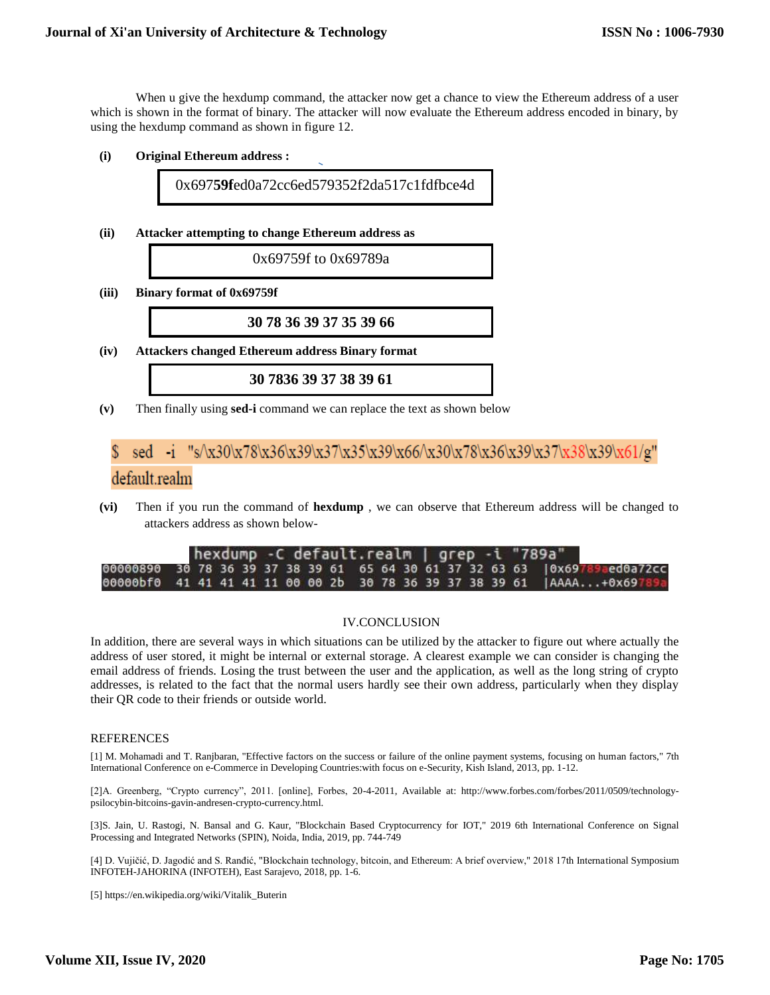When u give the hexdump command, the attacker now get a chance to view the Ethereum address of a user which is shown in the format of binary. The attacker will now evaluate the Ethereum address encoded in binary, by using the hexdump command as shown in figure 12.

**(i) Original Ethereum address :**

0x697**59f**ed0a72cc6ed579352f2da517c1fdfbce4d

**(ii) Attacker attempting to change Ethereum address as** 

0x69759f to 0x69789a

**(iii) Binary format of 0x69759f**

**30 78 36 39 37 35 39 66**

**(iv) Attackers changed Ethereum address Binary format**

**30 7836 39 37 38 39 61**

**(v)** Then finally using **sed-i** command we can replace the text as shown below

### sed -i "s/\x30\x78\x36\x39\x37\x35\x39\x66/\x30\x78\x36\x39\x37\x38\x39\x61/g" default.realm

**(vi)** Then if you run the command of **hexdump** , we can observe that Ethereum address will be changed to attackers address as shown below-

|                                                                      |  |  | hexdump -C default.realm   grep -i "789a" |  |  |  |  |  |  |  |  |  |  |                                                                           |  |
|----------------------------------------------------------------------|--|--|-------------------------------------------|--|--|--|--|--|--|--|--|--|--|---------------------------------------------------------------------------|--|
|                                                                      |  |  |                                           |  |  |  |  |  |  |  |  |  |  | 00000890 30 78 36 39 37 38 39 61 65 64 30 61 37 32 63 63 0x69789aed0a72cc |  |
| 00000bf0 41 41 41 41 11 00 00 2b 30 78 36 39 37 38 39 61  AAAA+0x697 |  |  |                                           |  |  |  |  |  |  |  |  |  |  |                                                                           |  |

### IV.CONCLUSION

In addition, there are several ways in which situations can be utilized by the attacker to figure out where actually the address of user stored, it might be internal or external storage. A clearest example we can consider is changing the email address of friends. Losing the trust between the user and the application, as well as the long string of crypto addresses, is related to the fact that the normal users hardly see their own address, particularly when they display their QR code to their friends or outside world.

#### REFERENCES

[1] M. Mohamadi and T. Ranjbaran, "Effective factors on the success or failure of the online payment systems, focusing on human factors," 7th International Conference on e-Commerce in Developing Countries:with focus on e-Security, Kish Island, 2013, pp. 1-12.

[2]A. Greenberg, "Crypto currency", 2011. [online], Forbes, 20-4-2011, Available at: [http://www.forbes.com/forbes/2011/0509/technology](http://www.forbes.com/forbes/2011/0509/technology-psilocybin-bitcoins-gavin-andresen-crypto-currency.html)[psilocybin-bitcoins-gavin-andresen-crypto-currency.html.](http://www.forbes.com/forbes/2011/0509/technology-psilocybin-bitcoins-gavin-andresen-crypto-currency.html)

[3]S. Jain, U. Rastogi, N. Bansal and G. Kaur, "Blockchain Based Cryptocurrency for IOT," 2019 6th International Conference on Signal Processing and Integrated Networks (SPIN), Noida, India, 2019, pp. 744-749

[4] D. Vujičić, D. Jagodić and S. Ranđić, "Blockchain technology, bitcoin, and Ethereum: A brief overview," 2018 17th International Symposium INFOTEH-JAHORINA (INFOTEH), East Sarajevo, 2018, pp. 1-6.

[5[\] https://en.wikipedia.org/wiki/Vitalik\\_Buterin](https://en.wikipedia.org/wiki/Vitalik_Buterin)